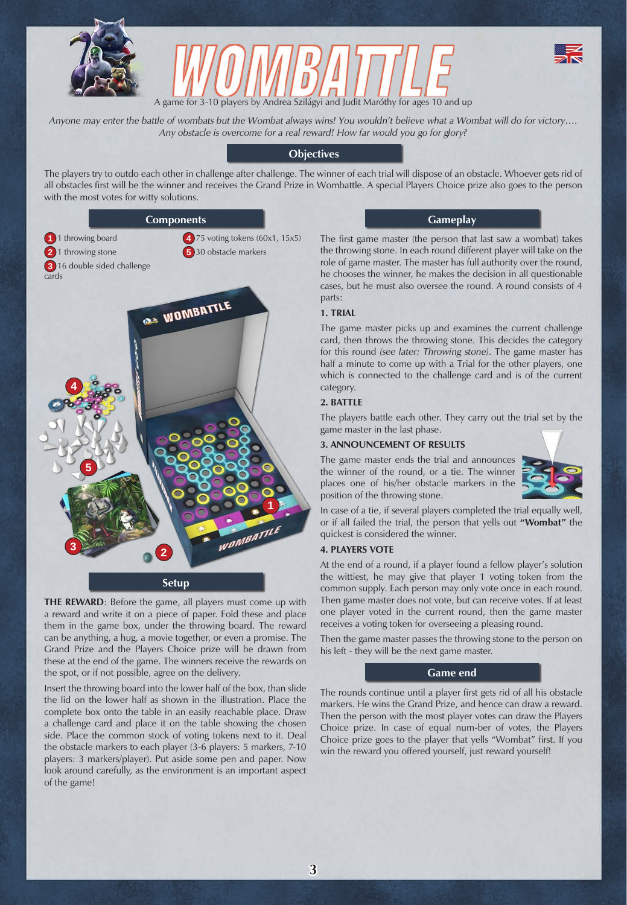





*Anyone may enter the battle of wombats but the Wombat always wins! You wouldn't believe what a Wombat will do for victory…. Any obstacle is overcome for a real reward! How far would you go for glory?*

# **Objectives**

The players try to outdo each other in challenge after challenge. The winner of each trial will dispose of an obstacle. Whoever gets rid of all obstacles first will be the winner and receives the Grand Prize in Wombattle. A special Players Choice prize also goes to the person with the most votes for witty solutions.



#### **Setup**

**THE REWARD**: Before the game, all players must come up with a reward and write it on a piece of paper. Fold these and place them in the game box, under the throwing board. The reward can be anything, a hug, a movie together, or even a promise. The Grand Prize and the Players Choice prize will be drawn from these at the end of the game. The winners receive the rewards on the spot, or if not possible, agree on the delivery.

Insert the throwing board into the lower half of the box, than slide the lid on the lower half as shown in the illustration. Place the complete box onto the table in an easily reachable place. Draw a challenge card and place it on the table showing the chosen side. Place the common stock of voting tokens next to it. Deal the obstacle markers to each player (3-6 players: 5 markers, 7-10 players: 3 markers/player). Put aside some pen and paper. Now look around carefully, as the environment is an important aspect of the game!

# **Gameplay**

The first game master (the person that last saw a wombat) takes the throwing stone. In each round different player will take on the role of game master. The master has full authority over the round, he chooses the winner, he makes the decision in all questionable cases, but he must also oversee the round. A round consists of 4 parts:

# **1. TRIAL**

The game master picks up and examines the current challenge card, then throws the throwing stone. This decides the category for this round *(see later: Throwing stone)*. The game master has half a minute to come up with a Trial for the other players, one which is connected to the challenge card and is of the current category.

# **2. BATTLE**

The players battle each other. They carry out the trial set by the game master in the last phase.

# **3. ANNOUNCEMENT OF RESULTS**

The game master ends the trial and announces the winner of the round, or a tie. The winner places one of his/her obstacle markers in the position of the throwing stone.



In case of a tie, if several players completed the trial equally well, or if all failed the trial, the person that yells out **"Wombat"** the quickest is considered the winner.

# **4. PLAYERS VOTE**

At the end of a round, if a player found a fellow player's solution the wittiest, he may give that player 1 voting token from the common supply. Each person may only vote once in each round. Then game master does not vote, but can receive votes. If at least one player voted in the current round, then the game master receives a voting token for overseeing a pleasing round.

Then the game master passes the throwing stone to the person on his left - they will be the next game master.

# **Game end**

The rounds continue until a player first gets rid of all his obstacle markers. He wins the Grand Prize, and hence can draw a reward. Then the person with the most player votes can draw the Players Choice prize. In case of equal num-ber of votes, the Players Choice prize goes to the player that yells "Wombat" first. If you win the reward you offered yourself, just reward yourself!